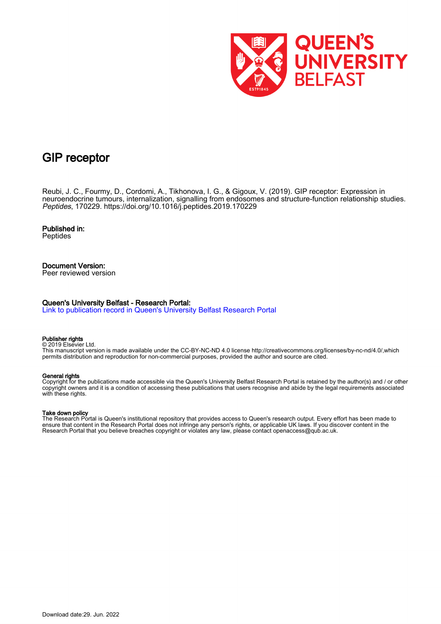

# GIP receptor

Reubi, J. C., Fourmy, D., Cordomi, A., Tikhonova, I. G., & Gigoux, V. (2019). GIP receptor: Expression in neuroendocrine tumours, internalization, signalling from endosomes and structure-function relationship studies. Peptides, 170229.<https://doi.org/10.1016/j.peptides.2019.170229>

Published in: **Peptides** 

## Document Version:

Peer reviewed version

## Queen's University Belfast - Research Portal:

[Link to publication record in Queen's University Belfast Research Portal](https://pure.qub.ac.uk/en/publications/77aa6f2e-bf5c-46ba-b896-6e0592fe7078)

#### Publisher rights

© 2019 Elsevier Ltd. This manuscript version is made available under the CC-BY-NC-ND 4.0 license http://creativecommons.org/licenses/by-nc-nd/4.0/,which permits distribution and reproduction for non-commercial purposes, provided the author and source are cited.

#### General rights

Copyright for the publications made accessible via the Queen's University Belfast Research Portal is retained by the author(s) and / or other copyright owners and it is a condition of accessing these publications that users recognise and abide by the legal requirements associated with these rights.

#### Take down policy

The Research Portal is Queen's institutional repository that provides access to Queen's research output. Every effort has been made to ensure that content in the Research Portal does not infringe any person's rights, or applicable UK laws. If you discover content in the Research Portal that you believe breaches copyright or violates any law, please contact openaccess@qub.ac.uk.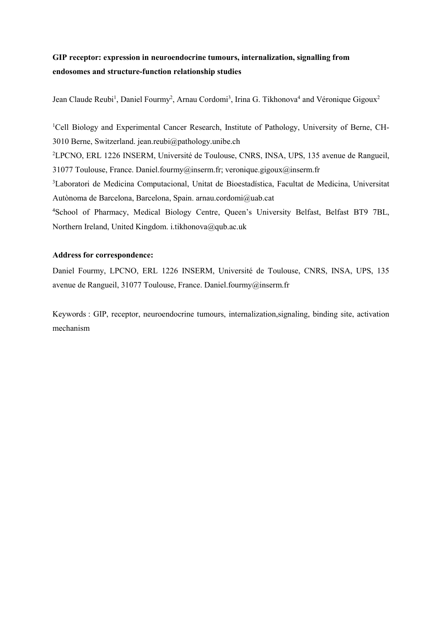## GIP receptor: expression in neuroendocrine tumours, internalization, signalling from endosomes and structure-function relationship studies

Jean Claude Reubi<sup>1</sup>, Daniel Fourmy<sup>2</sup>, Arnau Cordomi<sup>3</sup>, Irina G. Tikhonova<sup>4</sup> and Véronique Gigoux<sup>2</sup>

<sup>1</sup>Cell Biology and Experimental Cancer Research, Institute of Pathology, University of Berne, CH-3010 Berne, Switzerland. jean.reubi@pathology.unibe.ch <sup>2</sup>LPCNO, ERL 1226 INSERM, Université de Toulouse, CNRS, INSA, UPS, 135 avenue de Rangueil, 31077 Toulouse, France. Daniel.fourmy@inserm.fr; veronique.gigoux@inserm.fr <sup>3</sup>Laboratori de Medicina Computacional, Unitat de Bioestadística, Facultat de Medicina, Universitat Autònoma de Barcelona, Barcelona, Spain. arnau.cordomi@uab.cat <sup>4</sup>School of Pharmacy, Medical Biology Centre, Queen's University Belfast, Belfast BT9 7BL, Northern Ireland, United Kingdom. i.tikhonova@qub.ac.uk

## Address for correspondence:

Daniel Fourmy, LPCNO, ERL 1226 INSERM, Université de Toulouse, CNRS, INSA, UPS, 135 avenue de Rangueil, 31077 Toulouse, France. Daniel.fourmy@inserm.fr

Keywords : GIP, receptor, neuroendocrine tumours, internalization,signaling, binding site, activation mechanism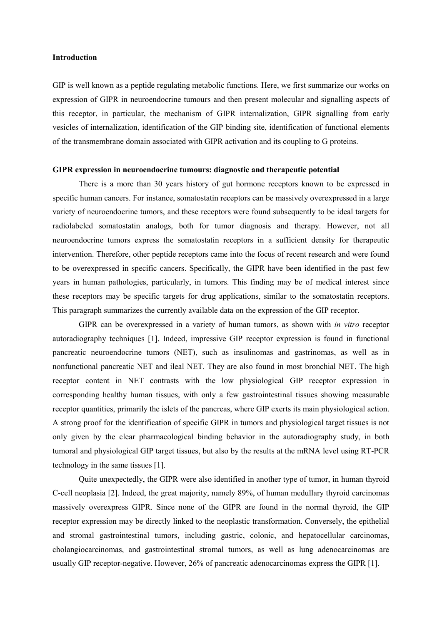## Introduction

GIP is well known as a peptide regulating metabolic functions. Here, we first summarize our works on expression of GIPR in neuroendocrine tumours and then present molecular and signalling aspects of this receptor, in particular, the mechanism of GIPR internalization, GIPR signalling from early vesicles of internalization, identification of the GIP binding site, identification of functional elements of the transmembrane domain associated with GIPR activation and its coupling to G proteins.

### GIPR expression in neuroendocrine tumours: diagnostic and therapeutic potential

There is a more than 30 years history of gut hormone receptors known to be expressed in specific human cancers. For instance, somatostatin receptors can be massively overexpressed in a large variety of neuroendocrine tumors, and these receptors were found subsequently to be ideal targets for radiolabeled somatostatin analogs, both for tumor diagnosis and therapy. However, not all neuroendocrine tumors express the somatostatin receptors in a sufficient density for therapeutic intervention. Therefore, other peptide receptors came into the focus of recent research and were found to be overexpressed in specific cancers. Specifically, the GIPR have been identified in the past few years in human pathologies, particularly, in tumors. This finding may be of medical interest since these receptors may be specific targets for drug applications, similar to the somatostatin receptors. This paragraph summarizes the currently available data on the expression of the GIP receptor.

GIPR can be overexpressed in a variety of human tumors, as shown with *in vitro* receptor autoradiography techniques [1]. Indeed, impressive GIP receptor expression is found in functional pancreatic neuroendocrine tumors (NET), such as insulinomas and gastrinomas, as well as in nonfunctional pancreatic NET and ileal NET. They are also found in most bronchial NET. The high receptor content in NET contrasts with the low physiological GIP receptor expression in corresponding healthy human tissues, with only a few gastrointestinal tissues showing measurable receptor quantities, primarily the islets of the pancreas, where GIP exerts its main physiological action. A strong proof for the identification of specific GIPR in tumors and physiological target tissues is not only given by the clear pharmacological binding behavior in the autoradiography study, in both tumoral and physiological GIP target tissues, but also by the results at the mRNA level using RT-PCR technology in the same tissues [1].

Quite unexpectedly, the GIPR were also identified in another type of tumor, in human thyroid C-cell neoplasia [2]. Indeed, the great majority, namely 89%, of human medullary thyroid carcinomas massively overexpress GIPR. Since none of the GIPR are found in the normal thyroid, the GIP receptor expression may be directly linked to the neoplastic transformation. Conversely, the epithelial and stromal gastrointestinal tumors, including gastric, colonic, and hepatocellular carcinomas, cholangiocarcinomas, and gastrointestinal stromal tumors, as well as lung adenocarcinomas are usually GIP receptor-negative. However, 26% of pancreatic adenocarcinomas express the GIPR [1].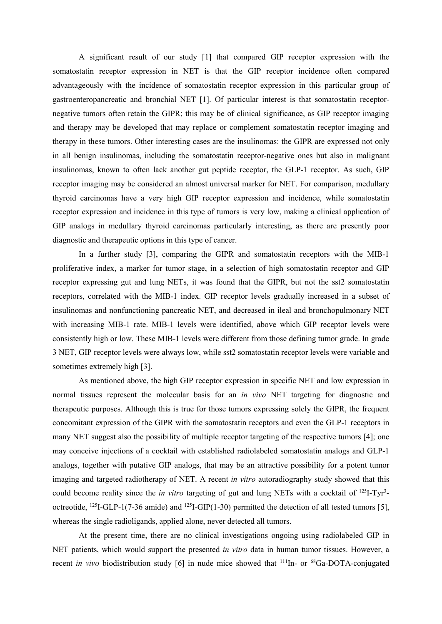A significant result of our study [1] that compared GIP receptor expression with the somatostatin receptor expression in NET is that the GIP receptor incidence often compared advantageously with the incidence of somatostatin receptor expression in this particular group of gastroenteropancreatic and bronchial NET [1]. Of particular interest is that somatostatin receptornegative tumors often retain the GIPR; this may be of clinical significance, as GIP receptor imaging and therapy may be developed that may replace or complement somatostatin receptor imaging and therapy in these tumors. Other interesting cases are the insulinomas: the GIPR are expressed not only in all benign insulinomas, including the somatostatin receptor-negative ones but also in malignant insulinomas, known to often lack another gut peptide receptor, the GLP-1 receptor. As such, GIP receptor imaging may be considered an almost universal marker for NET. For comparison, medullary thyroid carcinomas have a very high GIP receptor expression and incidence, while somatostatin receptor expression and incidence in this type of tumors is very low, making a clinical application of GIP analogs in medullary thyroid carcinomas particularly interesting, as there are presently poor diagnostic and therapeutic options in this type of cancer.

In a further study [3], comparing the GIPR and somatostatin receptors with the MIB-1 proliferative index, a marker for tumor stage, in a selection of high somatostatin receptor and GIP receptor expressing gut and lung NETs, it was found that the GIPR, but not the sst2 somatostatin receptors, correlated with the MIB-1 index. GIP receptor levels gradually increased in a subset of insulinomas and nonfunctioning pancreatic NET, and decreased in ileal and bronchopulmonary NET with increasing MIB-1 rate. MIB-1 levels were identified, above which GIP receptor levels were consistently high or low. These MIB-1 levels were different from those defining tumor grade. In grade 3 NET, GIP receptor levels were always low, while sst2 somatostatin receptor levels were variable and sometimes extremely high [3].

As mentioned above, the high GIP receptor expression in specific NET and low expression in normal tissues represent the molecular basis for an in vivo NET targeting for diagnostic and therapeutic purposes. Although this is true for those tumors expressing solely the GIPR, the frequent concomitant expression of the GIPR with the somatostatin receptors and even the GLP-1 receptors in many NET suggest also the possibility of multiple receptor targeting of the respective tumors [4]; one may conceive injections of a cocktail with established radiolabeled somatostatin analogs and GLP-1 analogs, together with putative GIP analogs, that may be an attractive possibility for a potent tumor imaging and targeted radiotherapy of NET. A recent in vitro autoradiography study showed that this could become reality since the *in vitro* targeting of gut and lung NETs with a cocktail of  $^{125}I-Tyr^3$ octreotide, <sup>125</sup>I-GLP-1(7-36 amide) and <sup>125</sup>I-GIP(1-30) permitted the detection of all tested tumors [5], whereas the single radioligands, applied alone, never detected all tumors.

At the present time, there are no clinical investigations ongoing using radiolabeled GIP in NET patients, which would support the presented *in vitro* data in human tumor tissues. However, a recent in vivo biodistribution study [6] in nude mice showed that  $^{111}$ In- or  $^{68}$ Ga-DOTA-conjugated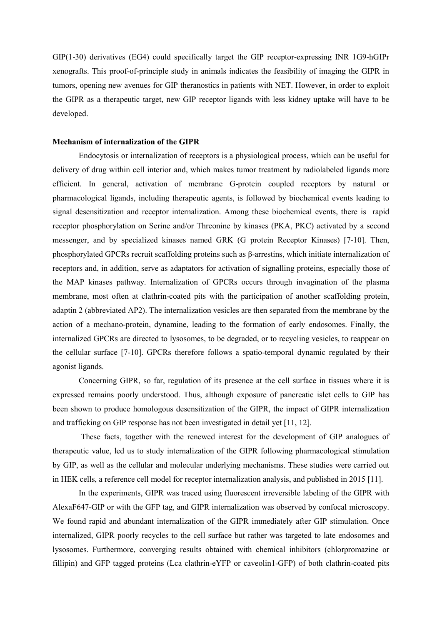GIP(1-30) derivatives (EG4) could specifically target the GIP receptor-expressing INR 1G9-hGIPr xenografts. This proof-of-principle study in animals indicates the feasibility of imaging the GIPR in tumors, opening new avenues for GIP theranostics in patients with NET. However, in order to exploit the GIPR as a therapeutic target, new GIP receptor ligands with less kidney uptake will have to be developed.

## Mechanism of internalization of the GIPR

Endocytosis or internalization of receptors is a physiological process, which can be useful for delivery of drug within cell interior and, which makes tumor treatment by radiolabeled ligands more efficient. In general, activation of membrane G-protein coupled receptors by natural or pharmacological ligands, including therapeutic agents, is followed by biochemical events leading to signal desensitization and receptor internalization. Among these biochemical events, there is rapid receptor phosphorylation on Serine and/or Threonine by kinases (PKA, PKC) activated by a second messenger, and by specialized kinases named GRK (G protein Receptor Kinases) [7-10]. Then, phosphorylated GPCRs recruit scaffolding proteins such as β-arrestins, which initiate internalization of receptors and, in addition, serve as adaptators for activation of signalling proteins, especially those of the MAP kinases pathway. Internalization of GPCRs occurs through invagination of the plasma membrane, most often at clathrin-coated pits with the participation of another scaffolding protein, adaptin 2 (abbreviated AP2). The internalization vesicles are then separated from the membrane by the action of a mechano-protein, dynamine, leading to the formation of early endosomes. Finally, the internalized GPCRs are directed to lysosomes, to be degraded, or to recycling vesicles, to reappear on the cellular surface [7-10]. GPCRs therefore follows a spatio-temporal dynamic regulated by their agonist ligands.

Concerning GIPR, so far, regulation of its presence at the cell surface in tissues where it is expressed remains poorly understood. Thus, although exposure of pancreatic islet cells to GIP has been shown to produce homologous desensitization of the GIPR, the impact of GIPR internalization and trafficking on GIP response has not been investigated in detail yet [11, 12].

 These facts, together with the renewed interest for the development of GIP analogues of therapeutic value, led us to study internalization of the GIPR following pharmacological stimulation by GIP, as well as the cellular and molecular underlying mechanisms. These studies were carried out in HEK cells, a reference cell model for receptor internalization analysis, and published in 2015 [11].

In the experiments, GIPR was traced using fluorescent irreversible labeling of the GIPR with AlexaF647-GIP or with the GFP tag, and GIPR internalization was observed by confocal microscopy. We found rapid and abundant internalization of the GIPR immediately after GIP stimulation. Once internalized, GIPR poorly recycles to the cell surface but rather was targeted to late endosomes and lysosomes. Furthermore, converging results obtained with chemical inhibitors (chlorpromazine or fillipin) and GFP tagged proteins (Lca clathrin-eYFP or caveolin1-GFP) of both clathrin-coated pits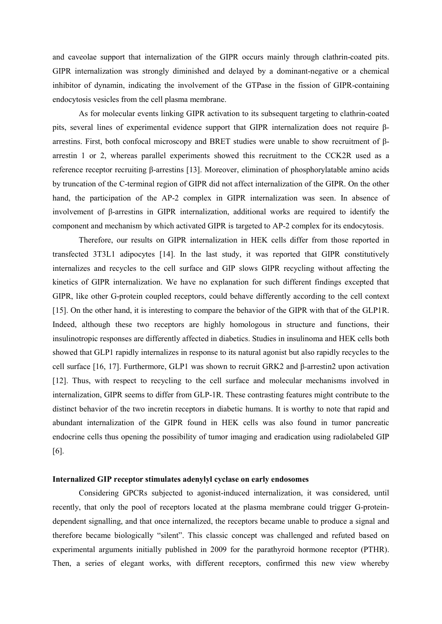and caveolae support that internalization of the GIPR occurs mainly through clathrin-coated pits. GIPR internalization was strongly diminished and delayed by a dominant-negative or a chemical inhibitor of dynamin, indicating the involvement of the GTPase in the fission of GIPR-containing endocytosis vesicles from the cell plasma membrane.

As for molecular events linking GIPR activation to its subsequent targeting to clathrin-coated pits, several lines of experimental evidence support that GIPR internalization does not require βarrestins. First, both confocal microscopy and BRET studies were unable to show recruitment of βarrestin 1 or 2, whereas parallel experiments showed this recruitment to the CCK2R used as a reference receptor recruiting β-arrestins [13]. Moreover, elimination of phosphorylatable amino acids by truncation of the C-terminal region of GIPR did not affect internalization of the GIPR. On the other hand, the participation of the AP-2 complex in GIPR internalization was seen. In absence of involvement of β-arrestins in GIPR internalization, additional works are required to identify the component and mechanism by which activated GIPR is targeted to AP-2 complex for its endocytosis.

Therefore, our results on GIPR internalization in HEK cells differ from those reported in transfected 3T3L1 adipocytes [14]. In the last study, it was reported that GIPR constitutively internalizes and recycles to the cell surface and GIP slows GIPR recycling without affecting the kinetics of GIPR internalization. We have no explanation for such different findings excepted that GIPR, like other G-protein coupled receptors, could behave differently according to the cell context [15]. On the other hand, it is interesting to compare the behavior of the GIPR with that of the GLP1R. Indeed, although these two receptors are highly homologous in structure and functions, their insulinotropic responses are differently affected in diabetics. Studies in insulinoma and HEK cells both showed that GLP1 rapidly internalizes in response to its natural agonist but also rapidly recycles to the cell surface [16, 17]. Furthermore, GLP1 was shown to recruit GRK2 and β-arrestin2 upon activation [12]. Thus, with respect to recycling to the cell surface and molecular mechanisms involved in internalization, GIPR seems to differ from GLP-1R. These contrasting features might contribute to the distinct behavior of the two incretin receptors in diabetic humans. It is worthy to note that rapid and abundant internalization of the GIPR found in HEK cells was also found in tumor pancreatic endocrine cells thus opening the possibility of tumor imaging and eradication using radiolabeled GIP [6].

## Internalized GIP receptor stimulates adenylyl cyclase on early endosomes

 Considering GPCRs subjected to agonist-induced internalization, it was considered, until recently, that only the pool of receptors located at the plasma membrane could trigger G-proteindependent signalling, and that once internalized, the receptors became unable to produce a signal and therefore became biologically "silent". This classic concept was challenged and refuted based on experimental arguments initially published in 2009 for the parathyroid hormone receptor (PTHR). Then, a series of elegant works, with different receptors, confirmed this new view whereby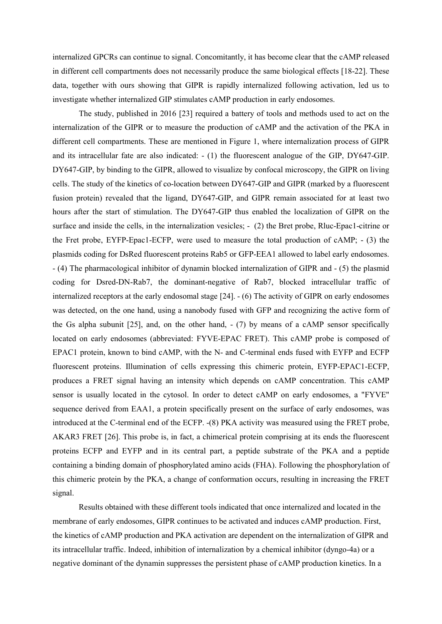internalized GPCRs can continue to signal. Concomitantly, it has become clear that the cAMP released in different cell compartments does not necessarily produce the same biological effects [18-22]. These data, together with ours showing that GIPR is rapidly internalized following activation, led us to investigate whether internalized GIP stimulates cAMP production in early endosomes.

 The study, published in 2016 [23] required a battery of tools and methods used to act on the internalization of the GIPR or to measure the production of cAMP and the activation of the PKA in different cell compartments. These are mentioned in Figure 1, where internalization process of GIPR and its intracellular fate are also indicated: - (1) the fluorescent analogue of the GIP, DY647-GIP. DY647-GIP, by binding to the GIPR, allowed to visualize by confocal microscopy, the GIPR on living cells. The study of the kinetics of co-location between DY647-GIP and GIPR (marked by a fluorescent fusion protein) revealed that the ligand, DY647-GIP, and GIPR remain associated for at least two hours after the start of stimulation. The DY647-GIP thus enabled the localization of GIPR on the surface and inside the cells, in the internalization vesicles; - (2) the Bret probe, Rluc-Epac1-citrine or the Fret probe, EYFP-Epac1-ECFP, were used to measure the total production of cAMP; - (3) the plasmids coding for DsRed fluorescent proteins Rab5 or GFP-EEA1 allowed to label early endosomes. - (4) The pharmacological inhibitor of dynamin blocked internalization of GIPR and - (5) the plasmid coding for Dsred-DN-Rab7, the dominant-negative of Rab7, blocked intracellular traffic of internalized receptors at the early endosomal stage [24]. - (6) The activity of GIPR on early endosomes was detected, on the one hand, using a nanobody fused with GFP and recognizing the active form of the Gs alpha subunit [25], and, on the other hand, - (7) by means of a cAMP sensor specifically located on early endosomes (abbreviated: FYVE-EPAC FRET). This cAMP probe is composed of EPAC1 protein, known to bind cAMP, with the N- and C-terminal ends fused with EYFP and ECFP fluorescent proteins. Illumination of cells expressing this chimeric protein, EYFP-EPAC1-ECFP, produces a FRET signal having an intensity which depends on cAMP concentration. This cAMP sensor is usually located in the cytosol. In order to detect cAMP on early endosomes, a "FYVE" sequence derived from EAA1, a protein specifically present on the surface of early endosomes, was introduced at the C-terminal end of the ECFP. -(8) PKA activity was measured using the FRET probe, AKAR3 FRET [26]. This probe is, in fact, a chimerical protein comprising at its ends the fluorescent proteins ECFP and EYFP and in its central part, a peptide substrate of the PKA and a peptide containing a binding domain of phosphorylated amino acids (FHA). Following the phosphorylation of this chimeric protein by the PKA, a change of conformation occurs, resulting in increasing the FRET signal.

Results obtained with these different tools indicated that once internalized and located in the membrane of early endosomes, GIPR continues to be activated and induces cAMP production. First, the kinetics of cAMP production and PKA activation are dependent on the internalization of GIPR and its intracellular traffic. Indeed, inhibition of internalization by a chemical inhibitor (dyngo-4a) or a negative dominant of the dynamin suppresses the persistent phase of cAMP production kinetics. In a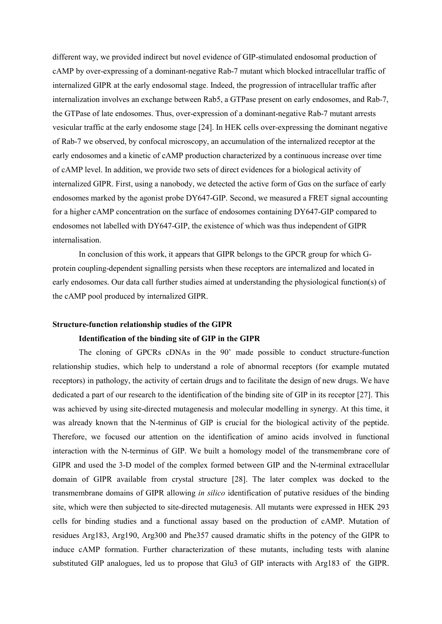different way, we provided indirect but novel evidence of GIP-stimulated endosomal production of cAMP by over-expressing of a dominant-negative Rab-7 mutant which blocked intracellular traffic of internalized GIPR at the early endosomal stage. Indeed, the progression of intracellular traffic after internalization involves an exchange between Rab5, a GTPase present on early endosomes, and Rab-7, the GTPase of late endosomes. Thus, over-expression of a dominant-negative Rab-7 mutant arrests vesicular traffic at the early endosome stage [24]. In HEK cells over-expressing the dominant negative of Rab-7 we observed, by confocal microscopy, an accumulation of the internalized receptor at the early endosomes and a kinetic of cAMP production characterized by a continuous increase over time of cAMP level. In addition, we provide two sets of direct evidences for a biological activity of internalized GIPR. First, using a nanobody, we detected the active form of Gαs on the surface of early endosomes marked by the agonist probe DY647-GIP. Second, we measured a FRET signal accounting for a higher cAMP concentration on the surface of endosomes containing DY647-GIP compared to endosomes not labelled with DY647-GIP, the existence of which was thus independent of GIPR internalisation.

In conclusion of this work, it appears that GIPR belongs to the GPCR group for which Gprotein coupling-dependent signalling persists when these receptors are internalized and located in early endosomes. Our data call further studies aimed at understanding the physiological function(s) of the cAMP pool produced by internalized GIPR.

## Structure-function relationship studies of the GIPR

## Identification of the binding site of GIP in the GIPR

 The cloning of GPCRs cDNAs in the 90' made possible to conduct structure-function relationship studies, which help to understand a role of abnormal receptors (for example mutated receptors) in pathology, the activity of certain drugs and to facilitate the design of new drugs. We have dedicated a part of our research to the identification of the binding site of GIP in its receptor [27]. This was achieved by using site-directed mutagenesis and molecular modelling in synergy. At this time, it was already known that the N-terminus of GIP is crucial for the biological activity of the peptide. Therefore, we focused our attention on the identification of amino acids involved in functional interaction with the N-terminus of GIP. We built a homology model of the transmembrane core of GIPR and used the 3-D model of the complex formed between GIP and the N-terminal extracellular domain of GIPR available from crystal structure [28]. The later complex was docked to the transmembrane domains of GIPR allowing in silico identification of putative residues of the binding site, which were then subjected to site-directed mutagenesis. All mutants were expressed in HEK 293 cells for binding studies and a functional assay based on the production of cAMP. Mutation of residues Arg183, Arg190, Arg300 and Phe357 caused dramatic shifts in the potency of the GIPR to induce cAMP formation. Further characterization of these mutants, including tests with alanine substituted GIP analogues, led us to propose that Glu3 of GIP interacts with Arg183 of the GIPR.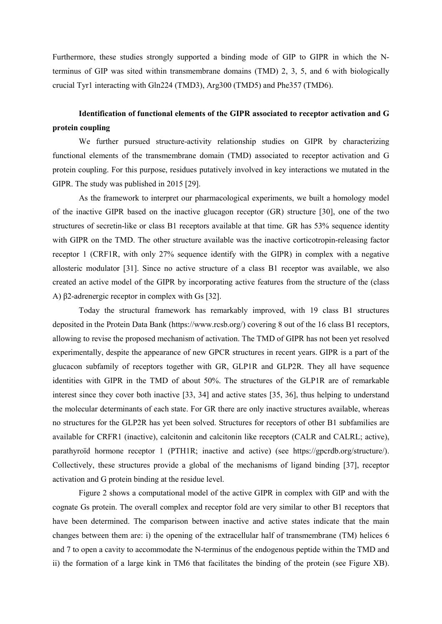Furthermore, these studies strongly supported a binding mode of GIP to GIPR in which the Nterminus of GIP was sited within transmembrane domains (TMD) 2, 3, 5, and 6 with biologically crucial Tyr1 interacting with Gln224 (TMD3), Arg300 (TMD5) and Phe357 (TMD6).

## Identification of functional elements of the GIPR associated to receptor activation and G protein coupling

We further pursued structure-activity relationship studies on GIPR by characterizing functional elements of the transmembrane domain (TMD) associated to receptor activation and G protein coupling. For this purpose, residues putatively involved in key interactions we mutated in the GIPR. The study was published in 2015 [29].

 As the framework to interpret our pharmacological experiments, we built a homology model of the inactive GIPR based on the inactive glucagon receptor (GR) structure [30], one of the two structures of secretin-like or class B1 receptors available at that time. GR has 53% sequence identity with GIPR on the TMD. The other structure available was the inactive corticotropin-releasing factor receptor 1 (CRF1R, with only 27% sequence identify with the GIPR) in complex with a negative allosteric modulator [31]. Since no active structure of a class B1 receptor was available, we also created an active model of the GIPR by incorporating active features from the structure of the (class A) β2-adrenergic receptor in complex with Gs [32].

Today the structural framework has remarkably improved, with 19 class B1 structures deposited in the Protein Data Bank (https://www.rcsb.org/) covering 8 out of the 16 class B1 receptors, allowing to revise the proposed mechanism of activation. The TMD of GIPR has not been yet resolved experimentally, despite the appearance of new GPCR structures in recent years. GIPR is a part of the glucacon subfamily of receptors together with GR, GLP1R and GLP2R. They all have sequence identities with GIPR in the TMD of about 50%. The structures of the GLP1R are of remarkable interest since they cover both inactive [33, 34] and active states [35, 36], thus helping to understand the molecular determinants of each state. For GR there are only inactive structures available, whereas no structures for the GLP2R has yet been solved. Structures for receptors of other B1 subfamilies are available for CRFR1 (inactive), calcitonin and calcitonin like receptors (CALR and CALRL; active), parathyroïd hormone receptor 1 (PTH1R; inactive and active) (see https://gpcrdb.org/structure/). Collectively, these structures provide a global of the mechanisms of ligand binding [37], receptor activation and G protein binding at the residue level.

Figure 2 shows a computational model of the active GIPR in complex with GIP and with the cognate Gs protein. The overall complex and receptor fold are very similar to other B1 receptors that have been determined. The comparison between inactive and active states indicate that the main changes between them are: i) the opening of the extracellular half of transmembrane (TM) helices 6 and 7 to open a cavity to accommodate the N-terminus of the endogenous peptide within the TMD and ii) the formation of a large kink in TM6 that facilitates the binding of the protein (see Figure XB).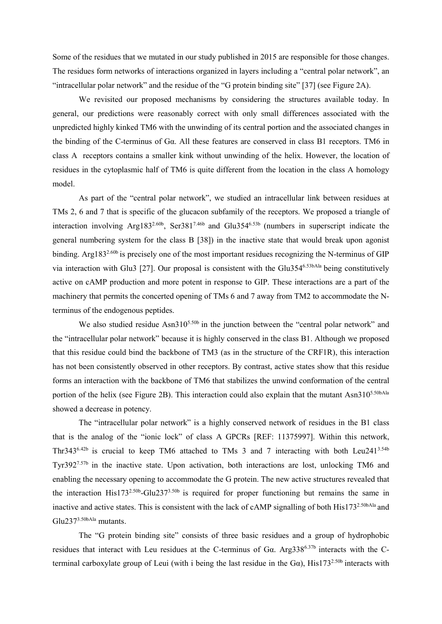Some of the residues that we mutated in our study published in 2015 are responsible for those changes. The residues form networks of interactions organized in layers including a "central polar network", an "intracellular polar network" and the residue of the "G protein binding site" [37] (see Figure 2A).

We revisited our proposed mechanisms by considering the structures available today. In general, our predictions were reasonably correct with only small differences associated with the unpredicted highly kinked TM6 with the unwinding of its central portion and the associated changes in the binding of the C-terminus of Gα. All these features are conserved in class B1 receptors. TM6 in class A receptors contains a smaller kink without unwinding of the helix. However, the location of residues in the cytoplasmic half of TM6 is quite different from the location in the class A homology model.

As part of the "central polar network", we studied an intracellular link between residues at TMs 2, 6 and 7 that is specific of the glucacon subfamily of the receptors. We proposed a triangle of interaction involving Arg1832.60b, Ser3817.46b and Glu3546.53b (numbers in superscript indicate the general numbering system for the class B [38]) in the inactive state that would break upon agonist binding. Arg183<sup>2.60b</sup> is precisely one of the most important residues recognizing the N-terminus of GIP via interaction with Glu3 [27]. Our proposal is consistent with the Glu3546.53bAla being constitutively active on cAMP production and more potent in response to GIP. These interactions are a part of the machinery that permits the concerted opening of TMs 6 and 7 away from TM2 to accommodate the Nterminus of the endogenous peptides.

We also studied residue Asn310<sup>5.50b</sup> in the junction between the "central polar network" and the "intracellular polar network" because it is highly conserved in the class B1. Although we proposed that this residue could bind the backbone of TM3 (as in the structure of the CRF1R), this interaction has not been consistently observed in other receptors. By contrast, active states show that this residue forms an interaction with the backbone of TM6 that stabilizes the unwind conformation of the central portion of the helix (see Figure 2B). This interaction could also explain that the mutant Asn310<sup>5.50bAla</sup> showed a decrease in potency.

The "intracellular polar network" is a highly conserved network of residues in the B1 class that is the analog of the "ionic lock" of class A GPCRs [REF: 11375997]. Within this network, Thr343<sup>6.42b</sup> is crucial to keep TM6 attached to TMs 3 and 7 interacting with both Leu241<sup>3.54b</sup> Tyr3927.57b in the inactive state. Upon activation, both interactions are lost, unlocking TM6 and enabling the necessary opening to accommodate the G protein. The new active structures revealed that the interaction His173<sup>2.50b</sup>-Glu237<sup>3.50b</sup> is required for proper functioning but remains the same in inactive and active states. This is consistent with the lack of cAMP signalling of both His173<sup>2.50bAla</sup> and Glu2373.50bAla mutants.

The "G protein binding site" consists of three basic residues and a group of hydrophobic residues that interact with Leu residues at the C-terminus of Gα. Arg3386.37b interacts with the Cterminal carboxylate group of Leui (with i being the last residue in the G $\alpha$ ), His173<sup>2.50b</sup> interacts with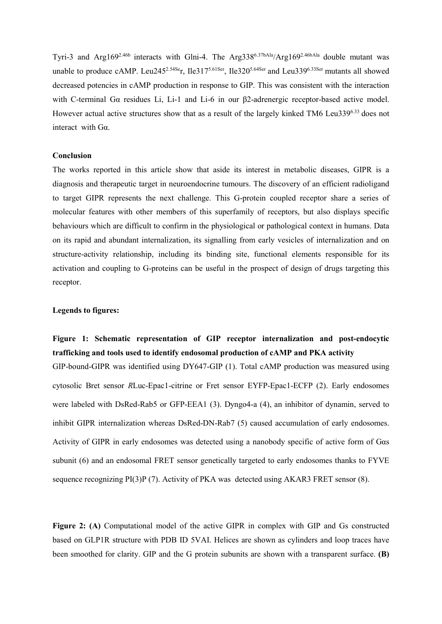Tyri-3 and Arg169<sup>2.46b</sup> interacts with Glni-4. The Arg338<sup>6.37bAla</sup>/Arg169<sup>2.46bAla</sup> double mutant was unable to produce cAMP. Leu245<sup>2.54Se</sup>r, Ile317<sup>5.61Ser</sup>, Ile320<sup>5.64Ser</sup> and Leu339<sup>6.33Ser</sup> mutants all showed decreased potencies in cAMP production in response to GIP. This was consistent with the interaction with C-terminal Gα residues Li, Li-1 and Li-6 in our β2-adrenergic receptor-based active model. However actual active structures show that as a result of the largely kinked TM6 Leu3396.33 does not interact with Gα.

### Conclusion

The works reported in this article show that aside its interest in metabolic diseases, GIPR is a diagnosis and therapeutic target in neuroendocrine tumours. The discovery of an efficient radioligand to target GIPR represents the next challenge. This G-protein coupled receptor share a series of molecular features with other members of this superfamily of receptors, but also displays specific behaviours which are difficult to confirm in the physiological or pathological context in humans. Data on its rapid and abundant internalization, its signalling from early vesicles of internalization and on structure-activity relationship, including its binding site, functional elements responsible for its activation and coupling to G-proteins can be useful in the prospect of design of drugs targeting this receptor.

## Legends to figures:

## Figure 1: Schematic representation of GIP receptor internalization and post-endocytic trafficking and tools used to identify endosomal production of cAMP and PKA activity

GIP-bound-GIPR was identified using DY647-GIP (1). Total cAMP production was measured using cytosolic Bret sensor RLuc-Epac1-citrine or Fret sensor EYFP-Epac1-ECFP (2). Early endosomes were labeled with DsRed-Rab5 or GFP-EEA1 (3). Dyngo4-a (4), an inhibitor of dynamin, served to inhibit GIPR internalization whereas DsRed-DN-Rab7 (5) caused accumulation of early endosomes. Activity of GIPR in early endosomes was detected using a nanobody specific of active form of Gαs subunit (6) and an endosomal FRET sensor genetically targeted to early endosomes thanks to FYVE sequence recognizing PI(3)P (7). Activity of PKA was detected using AKAR3 FRET sensor (8).

Figure 2: (A) Computational model of the active GIPR in complex with GIP and Gs constructed based on GLP1R structure with PDB ID 5VAI. Helices are shown as cylinders and loop traces have been smoothed for clarity. GIP and the G protein subunits are shown with a transparent surface. (B)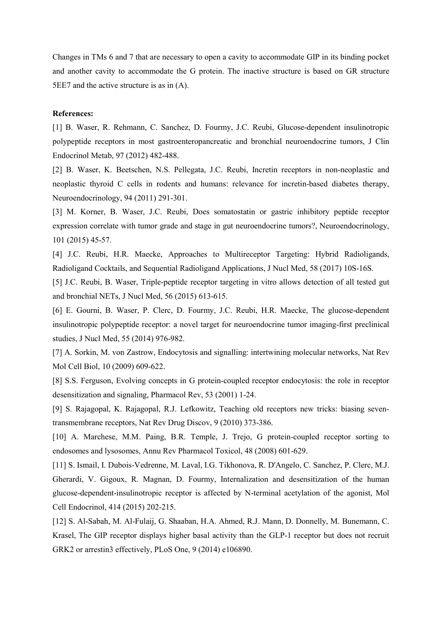Changes in TMs 6 and 7 that are necessary to open a cavity to accommodate GIP in its binding pocket and another cavity to accommodate the G protein. The inactive structure is based on GR structure 5EE7 and the active structure is as in (A).

### References:

[1] B. Waser, R. Rehmann, C. Sanchez, D. Fourmy, J.C. Reubi, Glucose-dependent insulinotropic polypeptide receptors in most gastroenteropancreatic and bronchial neuroendocrine tumors, J Clin Endocrinol Metab, 97 (2012) 482-488.

[2] B. Waser, K. Beetschen, N.S. Pellegata, J.C. Reubi, Incretin receptors in non-neoplastic and neoplastic thyroid C cells in rodents and humans: relevance for incretin-based diabetes therapy, Neuroendocrinology, 94 (2011) 291-301.

[3] M. Korner, B. Waser, J.C. Reubi, Does somatostatin or gastric inhibitory peptide receptor expression correlate with tumor grade and stage in gut neuroendocrine tumors?, Neuroendocrinology, 101 (2015) 45-57.

[4] J.C. Reubi, H.R. Maecke, Approaches to Multireceptor Targeting: Hybrid Radioligands, Radioligand Cocktails, and Sequential Radioligand Applications, J Nucl Med, 58 (2017) 10S-16S.

[5] J.C. Reubi, B. Waser, Triple-peptide receptor targeting in vitro allows detection of all tested gut and bronchial NETs, J Nucl Med, 56 (2015) 613-615.

[6] E. Gourni, B. Waser, P. Clerc, D. Fourmy, J.C. Reubi, H.R. Maecke, The glucose-dependent insulinotropic polypeptide receptor: a novel target for neuroendocrine tumor imaging-first preclinical studies, J Nucl Med, 55 (2014) 976-982.

[7] A. Sorkin, M. von Zastrow, Endocytosis and signalling: intertwining molecular networks, Nat Rev Mol Cell Biol, 10 (2009) 609-622.

[8] S.S. Ferguson, Evolving concepts in G protein-coupled receptor endocytosis: the role in receptor desensitization and signaling, Pharmacol Rev, 53 (2001) 1-24.

[9] S. Rajagopal, K. Rajagopal, R.J. Lefkowitz, Teaching old receptors new tricks: biasing seventransmembrane receptors, Nat Rev Drug Discov, 9 (2010) 373-386.

[10] A. Marchese, M.M. Paing, B.R. Temple, J. Trejo, G protein-coupled receptor sorting to endosomes and lysosomes, Annu Rev Pharmacol Toxicol, 48 (2008) 601-629.

[11] S. Ismail, I. Dubois-Vedrenne, M. Laval, I.G. Tikhonova, R. D'Angelo, C. Sanchez, P. Clerc, M.J. Gherardi, V. Gigoux, R. Magnan, D. Fourmy, Internalization and desensitization of the human glucose-dependent-insulinotropic receptor is affected by N-terminal acetylation of the agonist, Mol Cell Endocrinol, 414 (2015) 202-215.

[12] S. Al-Sabah, M. Al-Fulaij, G. Shaaban, H.A. Ahmed, R.J. Mann, D. Donnelly, M. Bunemann, C. Krasel, The GIP receptor displays higher basal activity than the GLP-1 receptor but does not recruit GRK2 or arrestin3 effectively, PLoS One, 9 (2014) e106890.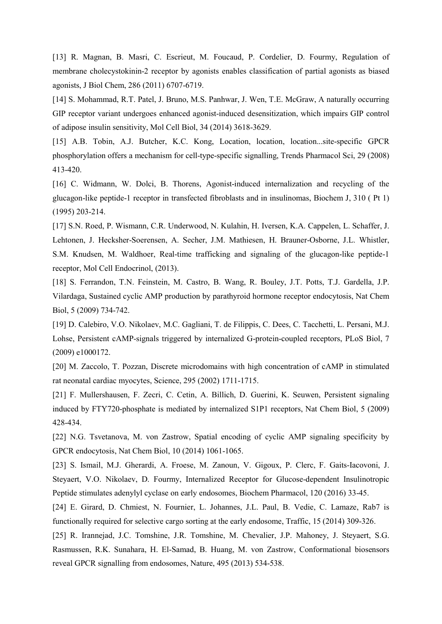[13] R. Magnan, B. Masri, C. Escrieut, M. Foucaud, P. Cordelier, D. Fourmy, Regulation of membrane cholecystokinin-2 receptor by agonists enables classification of partial agonists as biased agonists, J Biol Chem, 286 (2011) 6707-6719.

[14] S. Mohammad, R.T. Patel, J. Bruno, M.S. Panhwar, J. Wen, T.E. McGraw, A naturally occurring GIP receptor variant undergoes enhanced agonist-induced desensitization, which impairs GIP control of adipose insulin sensitivity, Mol Cell Biol, 34 (2014) 3618-3629.

[15] A.B. Tobin, A.J. Butcher, K.C. Kong, Location, location, location...site-specific GPCR phosphorylation offers a mechanism for cell-type-specific signalling, Trends Pharmacol Sci, 29 (2008) 413-420.

[16] C. Widmann, W. Dolci, B. Thorens, Agonist-induced internalization and recycling of the glucagon-like peptide-1 receptor in transfected fibroblasts and in insulinomas, Biochem J, 310 ( Pt 1) (1995) 203-214.

[17] S.N. Roed, P. Wismann, C.R. Underwood, N. Kulahin, H. Iversen, K.A. Cappelen, L. Schaffer, J. Lehtonen, J. Hecksher-Soerensen, A. Secher, J.M. Mathiesen, H. Brauner-Osborne, J.L. Whistler, S.M. Knudsen, M. Waldhoer, Real-time trafficking and signaling of the glucagon-like peptide-1 receptor, Mol Cell Endocrinol, (2013).

[18] S. Ferrandon, T.N. Feinstein, M. Castro, B. Wang, R. Bouley, J.T. Potts, T.J. Gardella, J.P. Vilardaga, Sustained cyclic AMP production by parathyroid hormone receptor endocytosis, Nat Chem Biol, 5 (2009) 734-742.

[19] D. Calebiro, V.O. Nikolaev, M.C. Gagliani, T. de Filippis, C. Dees, C. Tacchetti, L. Persani, M.J. Lohse, Persistent cAMP-signals triggered by internalized G-protein-coupled receptors, PLoS Biol, 7 (2009) e1000172.

[20] M. Zaccolo, T. Pozzan, Discrete microdomains with high concentration of cAMP in stimulated rat neonatal cardiac myocytes, Science, 295 (2002) 1711-1715.

[21] F. Mullershausen, F. Zecri, C. Cetin, A. Billich, D. Guerini, K. Seuwen, Persistent signaling induced by FTY720-phosphate is mediated by internalized S1P1 receptors, Nat Chem Biol, 5 (2009) 428-434.

[22] N.G. Tsvetanova, M. von Zastrow, Spatial encoding of cyclic AMP signaling specificity by GPCR endocytosis, Nat Chem Biol, 10 (2014) 1061-1065.

[23] S. Ismail, M.J. Gherardi, A. Froese, M. Zanoun, V. Gigoux, P. Clerc, F. Gaits-Iacovoni, J. Steyaert, V.O. Nikolaev, D. Fourmy, Internalized Receptor for Glucose-dependent Insulinotropic Peptide stimulates adenylyl cyclase on early endosomes, Biochem Pharmacol, 120 (2016) 33-45.

[24] E. Girard, D. Chmiest, N. Fournier, L. Johannes, J.L. Paul, B. Vedie, C. Lamaze, Rab7 is functionally required for selective cargo sorting at the early endosome, Traffic, 15 (2014) 309-326.

[25] R. Irannejad, J.C. Tomshine, J.R. Tomshine, M. Chevalier, J.P. Mahoney, J. Steyaert, S.G. Rasmussen, R.K. Sunahara, H. El-Samad, B. Huang, M. von Zastrow, Conformational biosensors reveal GPCR signalling from endosomes, Nature, 495 (2013) 534-538.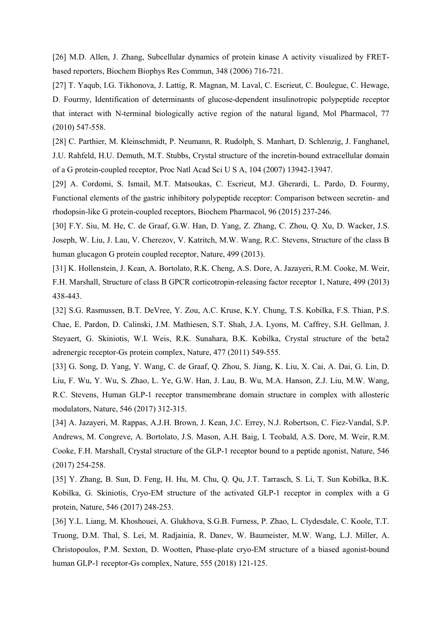[26] M.D. Allen, J. Zhang, Subcellular dynamics of protein kinase A activity visualized by FRETbased reporters, Biochem Biophys Res Commun, 348 (2006) 716-721.

[27] T. Yaqub, I.G. Tikhonova, J. Lattig, R. Magnan, M. Laval, C. Escrieut, C. Boulegue, C. Hewage, D. Fourmy, Identification of determinants of glucose-dependent insulinotropic polypeptide receptor that interact with N-terminal biologically active region of the natural ligand, Mol Pharmacol, 77 (2010) 547-558.

[28] C. Parthier, M. Kleinschmidt, P. Neumann, R. Rudolph, S. Manhart, D. Schlenzig, J. Fanghanel, J.U. Rahfeld, H.U. Demuth, M.T. Stubbs, Crystal structure of the incretin-bound extracellular domain of a G protein-coupled receptor, Proc Natl Acad Sci U S A, 104 (2007) 13942-13947.

[29] A. Cordomi, S. Ismail, M.T. Matsoukas, C. Escrieut, M.J. Gherardi, L. Pardo, D. Fourmy, Functional elements of the gastric inhibitory polypeptide receptor: Comparison between secretin- and rhodopsin-like G protein-coupled receptors, Biochem Pharmacol, 96 (2015) 237-246.

[30] F.Y. Siu, M. He, C. de Graaf, G.W. Han, D. Yang, Z. Zhang, C. Zhou, Q. Xu, D. Wacker, J.S. Joseph, W. Liu, J. Lau, V. Cherezov, V. Katritch, M.W. Wang, R.C. Stevens, Structure of the class B human glucagon G protein coupled receptor, Nature, 499 (2013).

[31] K. Hollenstein, J. Kean, A. Bortolato, R.K. Cheng, A.S. Dore, A. Jazayeri, R.M. Cooke, M. Weir, F.H. Marshall, Structure of class B GPCR corticotropin-releasing factor receptor 1, Nature, 499 (2013) 438-443.

[32] S.G. Rasmussen, B.T. DeVree, Y. Zou, A.C. Kruse, K.Y. Chung, T.S. Kobilka, F.S. Thian, P.S. Chae, E. Pardon, D. Calinski, J.M. Mathiesen, S.T. Shah, J.A. Lyons, M. Caffrey, S.H. Gellman, J. Steyaert, G. Skiniotis, W.I. Weis, R.K. Sunahara, B.K. Kobilka, Crystal structure of the beta2 adrenergic receptor-Gs protein complex, Nature, 477 (2011) 549-555.

[33] G. Song, D. Yang, Y. Wang, C. de Graaf, Q. Zhou, S. Jiang, K. Liu, X. Cai, A. Dai, G. Lin, D. Liu, F. Wu, Y. Wu, S. Zhao, L. Ye, G.W. Han, J. Lau, B. Wu, M.A. Hanson, Z.J. Liu, M.W. Wang, R.C. Stevens, Human GLP-1 receptor transmembrane domain structure in complex with allosteric modulators, Nature, 546 (2017) 312-315.

[34] A. Jazayeri, M. Rappas, A.J.H. Brown, J. Kean, J.C. Errey, N.J. Robertson, C. Fiez-Vandal, S.P. Andrews, M. Congreve, A. Bortolato, J.S. Mason, A.H. Baig, I. Teobald, A.S. Dore, M. Weir, R.M. Cooke, F.H. Marshall, Crystal structure of the GLP-1 receptor bound to a peptide agonist, Nature, 546 (2017) 254-258.

[35] Y. Zhang, B. Sun, D. Feng, H. Hu, M. Chu, Q. Qu, J.T. Tarrasch, S. Li, T. Sun Kobilka, B.K. Kobilka, G. Skiniotis, Cryo-EM structure of the activated GLP-1 receptor in complex with a G protein, Nature, 546 (2017) 248-253.

[36] Y.L. Liang, M. Khoshouei, A. Glukhova, S.G.B. Furness, P. Zhao, L. Clydesdale, C. Koole, T.T. Truong, D.M. Thal, S. Lei, M. Radjainia, R. Danev, W. Baumeister, M.W. Wang, L.J. Miller, A. Christopoulos, P.M. Sexton, D. Wootten, Phase-plate cryo-EM structure of a biased agonist-bound human GLP-1 receptor-Gs complex, Nature, 555 (2018) 121-125.